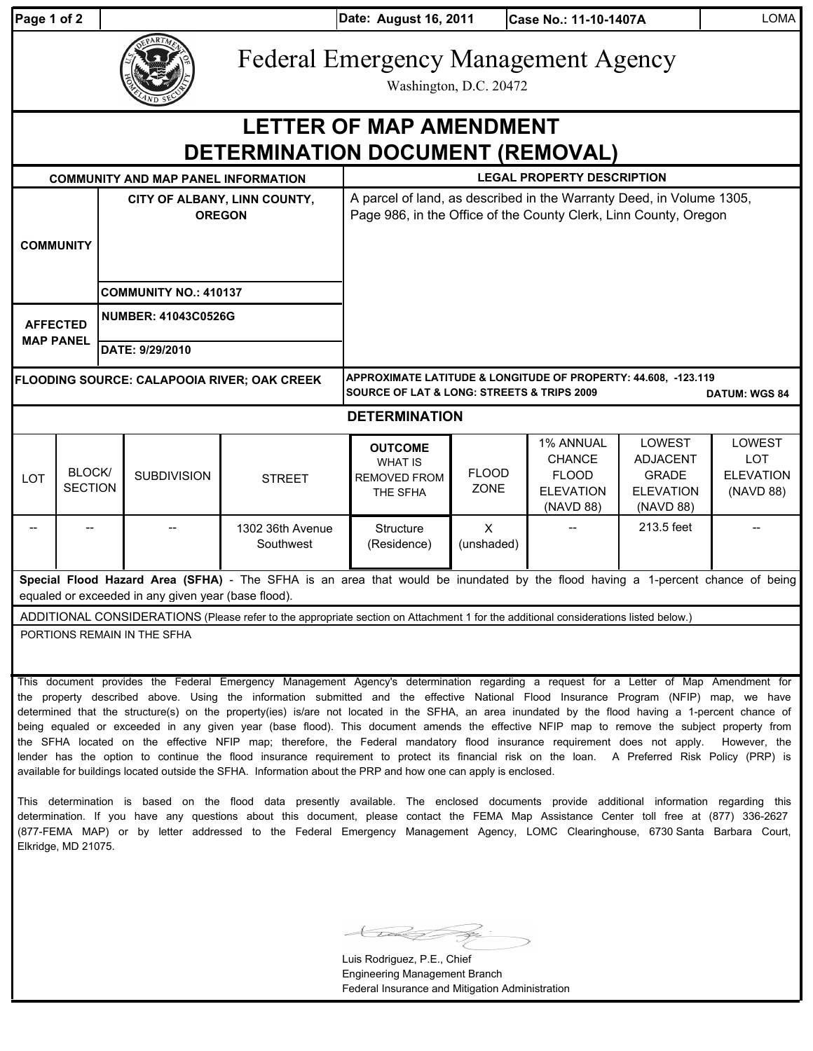| Page 1 of 2 |  |  |
|-------------|--|--|
|             |  |  |

**Date: Case No.: 11-10-1407A** LOMA **Page 1 of 2 August 16, 2011**

Federal Emergency Management Agency

Washington, D.C. 20472

## **DETERMINATION DOCUMENT (REMOVAL) LETTER OF MAP AMENDMENT**

| <b>COMMUNITY AND MAP PANEL INFORMATION</b>                                                                                                                                            |                          |                              | <b>LEGAL PROPERTY DESCRIPTION</b> |                               |                                                                                                                                                     |                             |                                                                             |                                                                                   |                                                       |  |  |
|---------------------------------------------------------------------------------------------------------------------------------------------------------------------------------------|--------------------------|------------------------------|-----------------------------------|-------------------------------|-----------------------------------------------------------------------------------------------------------------------------------------------------|-----------------------------|-----------------------------------------------------------------------------|-----------------------------------------------------------------------------------|-------------------------------------------------------|--|--|
| <b>COMMUNITY</b>                                                                                                                                                                      |                          |                              | <b>OREGON</b>                     | CITY OF ALBANY, LINN COUNTY,  | A parcel of land, as described in the Warranty Deed, in Volume 1305,<br>Page 986, in the Office of the County Clerk, Linn County, Oregon            |                             |                                                                             |                                                                                   |                                                       |  |  |
|                                                                                                                                                                                       |                          | <b>COMMUNITY NO.: 410137</b> |                                   |                               |                                                                                                                                                     |                             |                                                                             |                                                                                   |                                                       |  |  |
| <b>AFFECTED</b><br><b>MAP PANEL</b>                                                                                                                                                   |                          | <b>NUMBER: 41043C0526G</b>   |                                   |                               |                                                                                                                                                     |                             |                                                                             |                                                                                   |                                                       |  |  |
|                                                                                                                                                                                       |                          |                              | DATE: 9/29/2010                   |                               |                                                                                                                                                     |                             |                                                                             |                                                                                   |                                                       |  |  |
| <b>FLOODING SOURCE: CALAPOOIA RIVER; OAK CREEK</b>                                                                                                                                    |                          |                              |                                   |                               | APPROXIMATE LATITUDE & LONGITUDE OF PROPERTY: 44.608, -123.119<br><b>SOURCE OF LAT &amp; LONG: STREETS &amp; TRIPS 2009</b><br><b>DATUM: WGS 84</b> |                             |                                                                             |                                                                                   |                                                       |  |  |
| <b>DETERMINATION</b>                                                                                                                                                                  |                          |                              |                                   |                               |                                                                                                                                                     |                             |                                                                             |                                                                                   |                                                       |  |  |
| <b>LOT</b>                                                                                                                                                                            | BLOCK/<br><b>SECTION</b> |                              | <b>SUBDIVISION</b>                | <b>STREET</b>                 | <b>OUTCOME</b><br><b>WHAT IS</b><br><b>REMOVED FROM</b><br>THE SFHA                                                                                 | <b>FLOOD</b><br><b>ZONE</b> | 1% ANNUAL<br><b>CHANCE</b><br><b>FLOOD</b><br><b>ELEVATION</b><br>(NAVD 88) | <b>LOWEST</b><br><b>ADJACENT</b><br><b>GRADE</b><br><b>ELEVATION</b><br>(NAVD 88) | LOWEST<br><b>LOT</b><br><b>ELEVATION</b><br>(NAVD 88) |  |  |
|                                                                                                                                                                                       |                          |                              |                                   | 1302 36th Avenue<br>Southwest | Structure<br>(Residence)                                                                                                                            | $\times$<br>(unshaded)      |                                                                             | 213.5 feet                                                                        |                                                       |  |  |
| Special Flood Hazard Area (SFHA) - The SFHA is an area that would be inundated by the flood having a 1-percent chance of being<br>equaled or exceeded in any given year (base flood). |                          |                              |                                   |                               |                                                                                                                                                     |                             |                                                                             |                                                                                   |                                                       |  |  |
| ADDITIONAL CONSIDERATIONS (Please refer to the appropriate section on Attachment 1 for the additional considerations listed below.)                                                   |                          |                              |                                   |                               |                                                                                                                                                     |                             |                                                                             |                                                                                   |                                                       |  |  |

PORTIONS REMAIN IN THE SFHA

This document provides the Federal Emergency Management Agency's determination regarding a request for a Letter of Map Amendment for the property described above. Using the information submitted and the effective National Flood Insurance Program (NFIP) map, we have determined that the structure(s) on the property(ies) is/are not located in the SFHA, an area inundated by the flood having a 1-percent chance of being equaled or exceeded in any given year (base flood). This document amends the effective NFIP map to remove the subject property from the SFHA located on the effective NFIP map; therefore, the Federal mandatory flood insurance requirement does not apply. However, the lender has the option to continue the flood insurance requirement to protect its financial risk on the loan. A Preferred Risk Policy (PRP) is available for buildings located outside the SFHA. Information about the PRP and how one can apply is enclosed.

This determination is based on the flood data presently available. The enclosed documents provide additional information regarding this determination. If you have any questions about this document, please contact the FEMA Map Assistance Center toll free at (877) 336-2627 (877-FEMA MAP) or by letter addressed to the Federal Emergency Management Agency, LOMC Clearinghouse, 6730 Santa Barbara Court, Elkridge, MD 21075.

Luis Rodriguez, P.E., Chief Engineering Management Branch Federal Insurance and Mitigation Administration